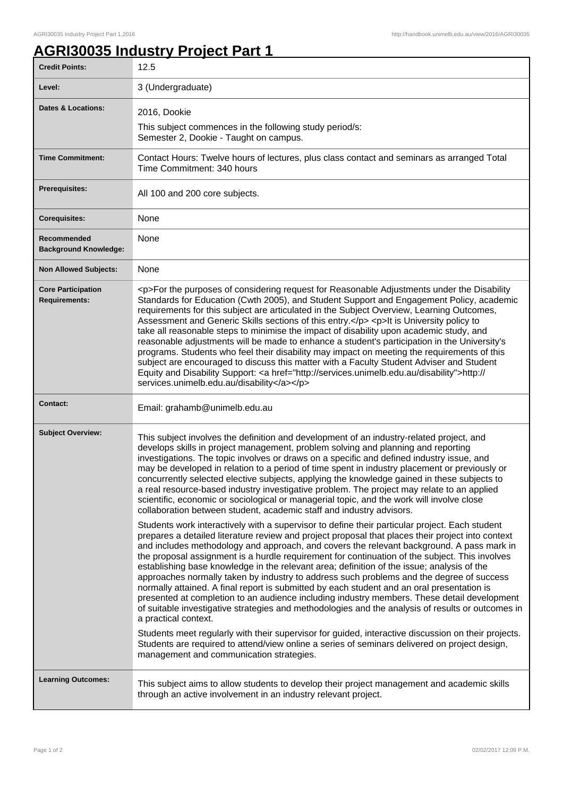## **AGRI30035 Industry Project Part 1**

| <b>Credit Points:</b>                             | 12.5                                                                                                                                                                                                                                                                                                                                                                                                                                                                                                                                                                                                                                                                                                                                                                                                                                                                                                                                                                                                                                                                     |
|---------------------------------------------------|--------------------------------------------------------------------------------------------------------------------------------------------------------------------------------------------------------------------------------------------------------------------------------------------------------------------------------------------------------------------------------------------------------------------------------------------------------------------------------------------------------------------------------------------------------------------------------------------------------------------------------------------------------------------------------------------------------------------------------------------------------------------------------------------------------------------------------------------------------------------------------------------------------------------------------------------------------------------------------------------------------------------------------------------------------------------------|
| Level:                                            | 3 (Undergraduate)                                                                                                                                                                                                                                                                                                                                                                                                                                                                                                                                                                                                                                                                                                                                                                                                                                                                                                                                                                                                                                                        |
| <b>Dates &amp; Locations:</b>                     | 2016, Dookie                                                                                                                                                                                                                                                                                                                                                                                                                                                                                                                                                                                                                                                                                                                                                                                                                                                                                                                                                                                                                                                             |
|                                                   | This subject commences in the following study period/s:<br>Semester 2, Dookie - Taught on campus.                                                                                                                                                                                                                                                                                                                                                                                                                                                                                                                                                                                                                                                                                                                                                                                                                                                                                                                                                                        |
| <b>Time Commitment:</b>                           | Contact Hours: Twelve hours of lectures, plus class contact and seminars as arranged Total<br>Time Commitment: 340 hours                                                                                                                                                                                                                                                                                                                                                                                                                                                                                                                                                                                                                                                                                                                                                                                                                                                                                                                                                 |
| <b>Prerequisites:</b>                             | All 100 and 200 core subjects.                                                                                                                                                                                                                                                                                                                                                                                                                                                                                                                                                                                                                                                                                                                                                                                                                                                                                                                                                                                                                                           |
| <b>Corequisites:</b>                              | None                                                                                                                                                                                                                                                                                                                                                                                                                                                                                                                                                                                                                                                                                                                                                                                                                                                                                                                                                                                                                                                                     |
| Recommended<br><b>Background Knowledge:</b>       | None                                                                                                                                                                                                                                                                                                                                                                                                                                                                                                                                                                                                                                                                                                                                                                                                                                                                                                                                                                                                                                                                     |
| <b>Non Allowed Subjects:</b>                      | None                                                                                                                                                                                                                                                                                                                                                                                                                                                                                                                                                                                                                                                                                                                                                                                                                                                                                                                                                                                                                                                                     |
| <b>Core Participation</b><br><b>Requirements:</b> | <p>For the purposes of considering request for Reasonable Adjustments under the Disability<br/>Standards for Education (Cwth 2005), and Student Support and Engagement Policy, academic<br/>requirements for this subject are articulated in the Subject Overview, Learning Outcomes,<br/>Assessment and Generic Skills sections of this entry.</p> <p>lt is University policy to<br/>take all reasonable steps to minimise the impact of disability upon academic study, and<br/>reasonable adjustments will be made to enhance a student's participation in the University's<br/>programs. Students who feel their disability may impact on meeting the requirements of this<br/>subject are encouraged to discuss this matter with a Faculty Student Adviser and Student<br/>Equity and Disability Support: &lt; a href="http://services.unimelb.edu.au/disability"&gt;http://<br/>services.unimelb.edu.au/disability</p>                                                                                                                                             |
| <b>Contact:</b>                                   | Email: grahamb@unimelb.edu.au                                                                                                                                                                                                                                                                                                                                                                                                                                                                                                                                                                                                                                                                                                                                                                                                                                                                                                                                                                                                                                            |
| <b>Subject Overview:</b>                          | This subject involves the definition and development of an industry-related project, and<br>develops skills in project management, problem solving and planning and reporting<br>investigations. The topic involves or draws on a specific and defined industry issue, and<br>may be developed in relation to a period of time spent in industry placement or previously or<br>concurrently selected elective subjects, applying the knowledge gained in these subjects to<br>a real resource-based industry investigative problem. The project may relate to an applied<br>scientific, economic or sociological or managerial topic, and the work will involve close<br>collaboration between student, academic staff and industry advisors.<br>Students work interactively with a supervisor to define their particular project. Each student                                                                                                                                                                                                                          |
|                                                   | prepares a detailed literature review and project proposal that places their project into context<br>and includes methodology and approach, and covers the relevant background. A pass mark in<br>the proposal assignment is a hurdle requirement for continuation of the subject. This involves<br>establishing base knowledge in the relevant area; definition of the issue; analysis of the<br>approaches normally taken by industry to address such problems and the degree of success<br>normally attained. A final report is submitted by each student and an oral presentation is<br>presented at completion to an audience including industry members. These detail development<br>of suitable investigative strategies and methodologies and the analysis of results or outcomes in<br>a practical context.<br>Students meet regularly with their supervisor for guided, interactive discussion on their projects.<br>Students are required to attend/view online a series of seminars delivered on project design,<br>management and communication strategies. |
| <b>Learning Outcomes:</b>                         | This subject aims to allow students to develop their project management and academic skills<br>through an active involvement in an industry relevant project.                                                                                                                                                                                                                                                                                                                                                                                                                                                                                                                                                                                                                                                                                                                                                                                                                                                                                                            |